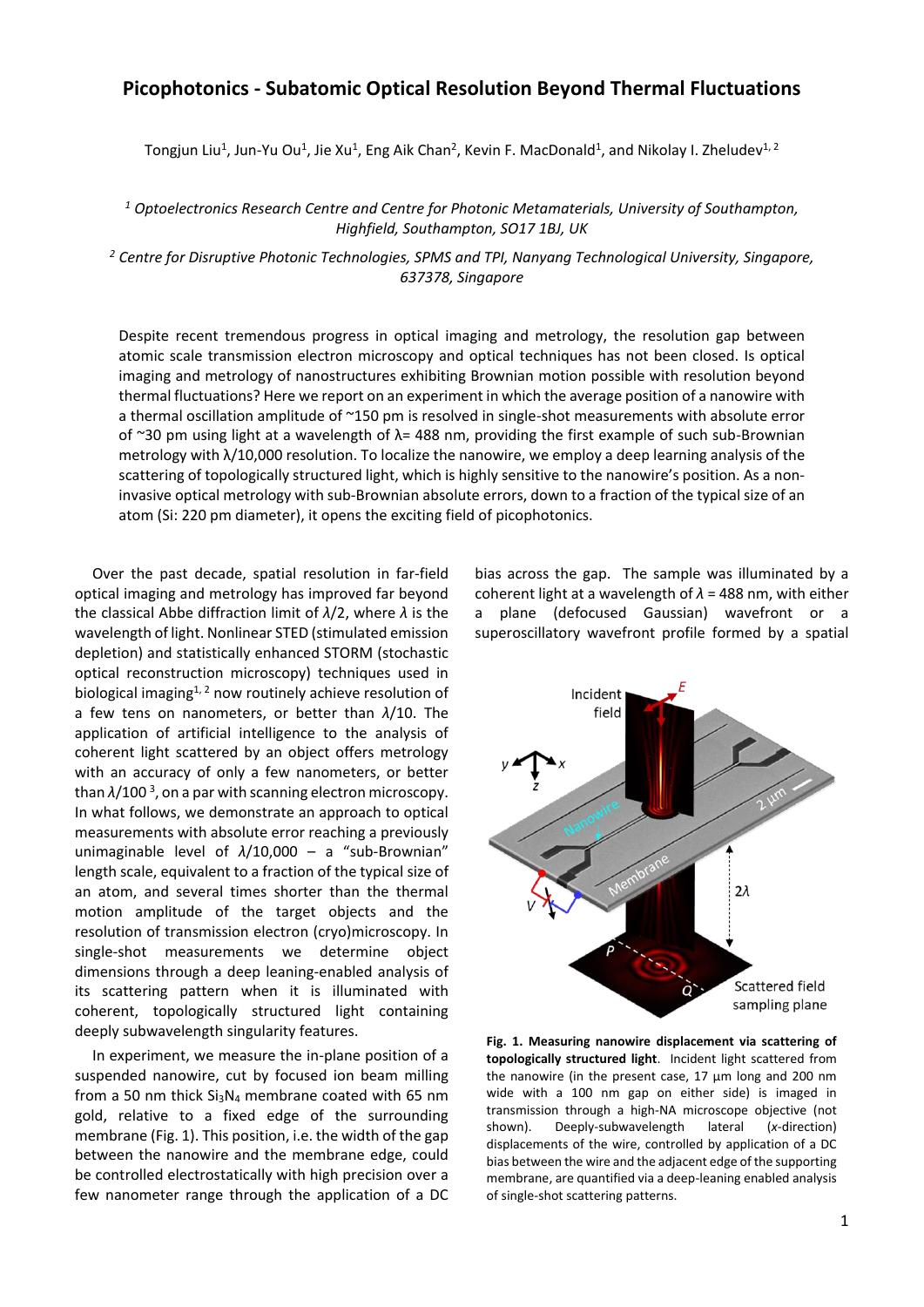## **Picophotonics - Subatomic Optical Resolution Beyond Thermal Fluctuations**

Tongjun Liu<sup>1</sup>, Jun-Yu Ou<sup>1</sup>, Jie Xu<sup>1</sup>, Eng Aik Chan<sup>2</sup>, Kevin F. MacDonald<sup>1</sup>, and Nikolay I. Zheludev<sup>1, 2</sup>

*<sup>1</sup> Optoelectronics Research Centre and Centre for Photonic Metamaterials, University of Southampton, Highfield, Southampton, SO17 1BJ, UK*

*<sup>2</sup> Centre for Disruptive Photonic Technologies, SPMS and TPI, Nanyang Technological University, Singapore, 637378, Singapore*

Despite recent tremendous progress in optical imaging and metrology, the resolution gap between atomic scale transmission electron microscopy and optical techniques has not been closed. Is optical imaging and metrology of nanostructures exhibiting Brownian motion possible with resolution beyond thermal fluctuations? Here we report on an experiment in which the average position of a nanowire with a thermal oscillation amplitude of ~150 pm is resolved in single-shot measurements with absolute error of ~30 pm using light at a wavelength of  $\lambda$ = 488 nm, providing the first example of such sub-Brownian metrology with λ/10,000 resolution. To localize the nanowire, we employ a deep learning analysis of the scattering of topologically structured light, which is highly sensitive to the nanowire's position. As a noninvasive optical metrology with sub-Brownian absolute errors, down to a fraction of the typical size of an atom (Si: 220 pm diameter), it opens the exciting field of picophotonics.

Over the past decade, spatial resolution in far-field optical imaging and metrology has improved far beyond the classical Abbe diffraction limit of *λ*/2, where *λ* is the wavelength of light. Nonlinear STED (stimulated emission depletion) and statistically enhanced STORM (stochastic optical reconstruction microscopy) techniques used in biological imaging $1/2$  now routinely achieve resolution of a few tens on nanometers, or better than *λ*/10. The application of artificial intelligence to the analysis of coherent light scattered by an object offers metrology with an accuracy of only a few nanometers, or better than  $\lambda/100^3$ , on a par with scanning electron microscopy. In what follows, we demonstrate an approach to optical measurements with absolute error reaching a previously unimaginable level of *λ*/10,000 – a "sub-Brownian" length scale, equivalent to a fraction of the typical size of an atom, and several times shorter than the thermal motion amplitude of the target objects and the resolution of transmission electron (cryo)microscopy. In single-shot measurements we determine object dimensions through a deep leaning-enabled analysis of its scattering pattern when it is illuminated with coherent, topologically structured light containing deeply subwavelength singularity features.

In experiment, we measure the in-plane position of a suspended nanowire, cut by focused ion beam milling from a 50 nm thick  $Si<sub>3</sub>N<sub>4</sub>$  membrane coated with 65 nm gold, relative to a fixed edge of the surrounding membrane (Fig. 1). This position, i.e. the width of the gap between the nanowire and the membrane edge, could be controlled electrostatically with high precision over a few nanometer range through the application of a DC bias across the gap. The sample was illuminated by a coherent light at a wavelength of *λ* = 488 nm, with either a plane (defocused Gaussian) wavefront or a superoscillatory wavefront profile formed by a spatial



**Fig. 1. Measuring nanowire displacement via scattering of topologically structured light**. Incident light scattered from the nanowire (in the present case, 17 μm long and 200 nm wide with a 100 nm gap on either side) is imaged in transmission through a high-NA microscope objective (not shown). Deeply-subwavelength lateral (*x*-direction) displacements of the wire, controlled by application of a DC bias between the wire and the adjacent edge of the supporting membrane, are quantified via a deep-leaning enabled analysis of single-shot scattering patterns.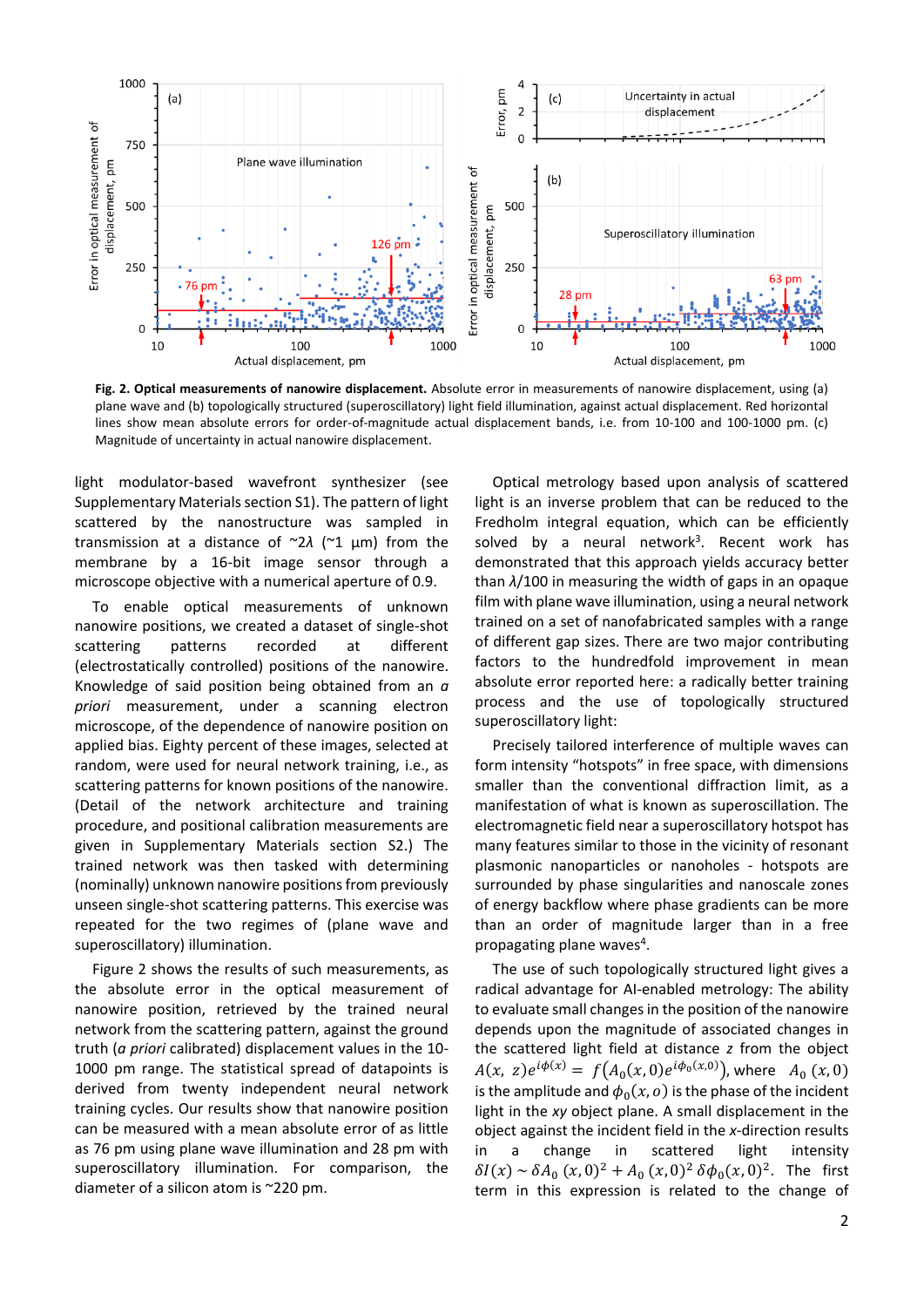

**Fig. 2. Optical measurements of nanowire displacement.** Absolute error in measurements of nanowire displacement, using (a) plane wave and (b) topologically structured (superoscillatory) light field illumination, against actual displacement. Red horizontal lines show mean absolute errors for order-of-magnitude actual displacement bands, i.e. from 10-100 and 100-1000 pm. (c) Magnitude of uncertainty in actual nanowire displacement.

light modulator-based wavefront synthesizer (see Supplementary Materials section S1). The pattern of light scattered by the nanostructure was sampled in transmission at a distance of ~2*λ* (~1 μm) from the membrane by a 16-bit image sensor through a microscope objective with a numerical aperture of 0.9.

To enable optical measurements of unknown nanowire positions, we created a dataset of single-shot scattering patterns recorded at different (electrostatically controlled) positions of the nanowire. Knowledge of said position being obtained from an *a priori* measurement, under a scanning electron microscope, of the dependence of nanowire position on applied bias. Eighty percent of these images, selected at random, were used for neural network training, i.e., as scattering patterns for known positions of the nanowire. (Detail of the network architecture and training procedure, and positional calibration measurements are given in Supplementary Materials section S2.) The trained network was then tasked with determining (nominally) unknown nanowire positions from previously unseen single-shot scattering patterns. This exercise was repeated for the two regimes of (plane wave and superoscillatory) illumination.

Figure 2 shows the results of such measurements, as the absolute error in the optical measurement of nanowire position, retrieved by the trained neural network from the scattering pattern, against the ground truth (*a priori* calibrated) displacement values in the 10- 1000 pm range. The statistical spread of datapoints is derived from twenty independent neural network training cycles. Our results show that nanowire position can be measured with a mean absolute error of as little as 76 pm using plane wave illumination and 28 pm with superoscillatory illumination. For comparison, the diameter of a silicon atom is ~220 pm.

Optical metrology based upon analysis of scattered light is an inverse problem that can be reduced to the Fredholm integral equation, which can be efficiently solved by a neural network<sup>3</sup>. Recent work has demonstrated that this approach yields accuracy better than *λ*/100 in measuring the width of gaps in an opaque film with plane wave illumination, using a neural network trained on a set of nanofabricated samples with a range of different gap sizes. There are two major contributing factors to the hundredfold improvement in mean absolute error reported here: a radically better training process and the use of topologically structured superoscillatory light:

Precisely tailored interference of multiple waves can form intensity "hotspots" in free space, with dimensions smaller than the conventional diffraction limit, as a manifestation of what is known as superoscillation. The electromagnetic field near a superoscillatory hotspot has many features similar to those in the vicinity of resonant plasmonic nanoparticles or nanoholes - hotspots are surrounded by phase singularities and nanoscale zones of energy backflow where phase gradients can be more than an order of magnitude larger than in a free propagating plane waves<sup>4</sup>.

The use of such topologically structured light gives a radical advantage for AI-enabled metrology: The ability to evaluate small changes in the position of the nanowire depends upon the magnitude of associated changes in the scattered light field at distance *z* from the object  $A(x, z)e^{i\phi(x)} = f(A_0(x, 0)e^{i\phi_0(x, 0)})$ , where  $A_0(x, 0)$ is the amplitude and  $\phi_0(x, o)$  is the phase of the incident light in the *xy* object plane. A small displacement in the object against the incident field in the *x*-direction results in a change in scattered light intensity  $\delta I(x) \sim \delta A_0 (x, 0)^2 + A_0 (x, 0)^2 \delta \phi_0(x, 0)^2$ . The first term in this expression is related to the change of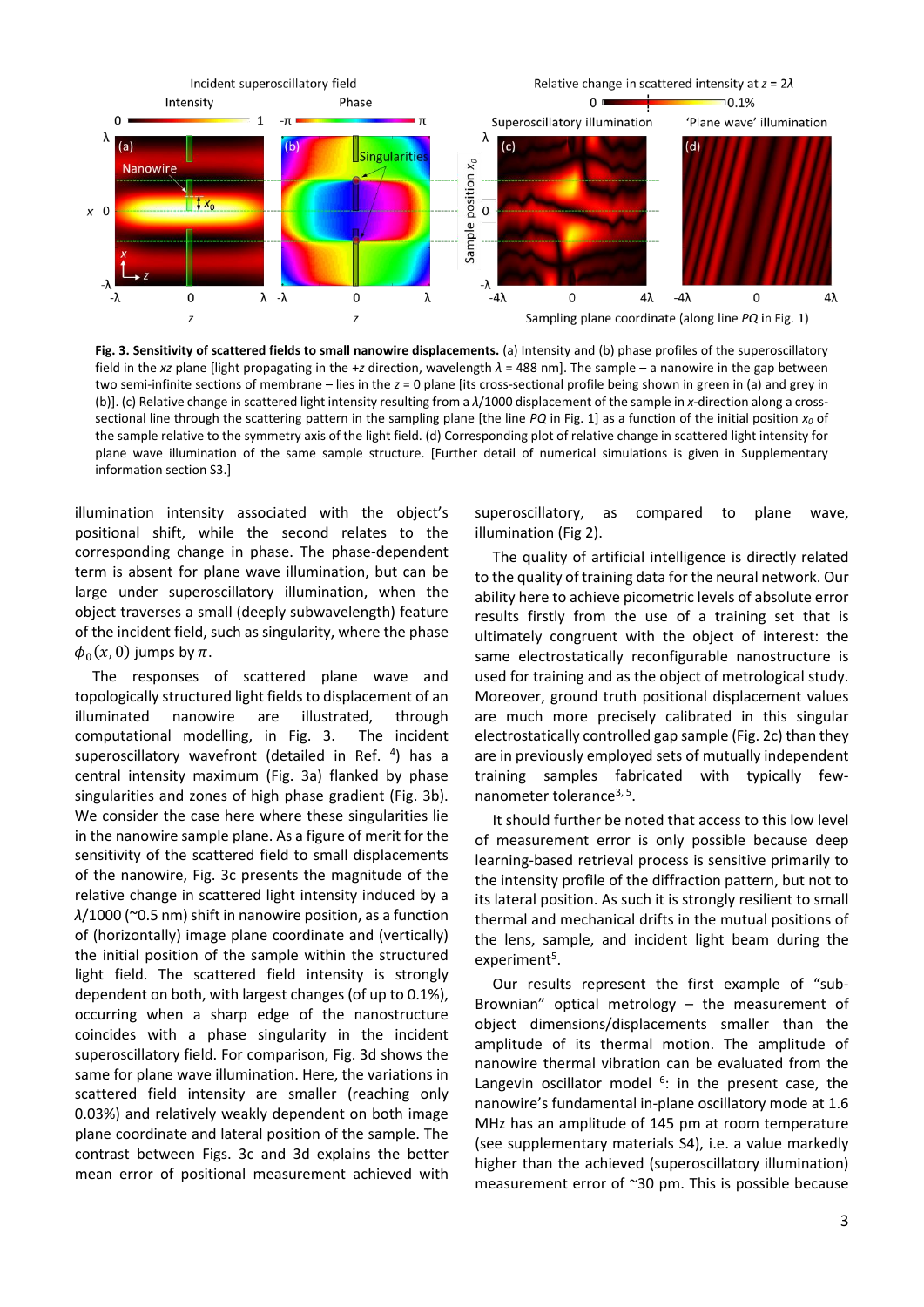

**Fig. 3. Sensitivity of scattered fields to small nanowire displacements.** (a) Intensity and (b) phase profiles of the superoscillatory field in the *xz* plane [light propagating in the +*z* direction, wavelength *λ* = 488 nm]. The sample – a nanowire in the gap between two semi-infinite sections of membrane – lies in the *z* = 0 plane [its cross-sectional profile being shown in green in (a) and grey in (b)]. (c) Relative change in scattered light intensity resulting from a *λ*/1000 displacement of the sample in *x*-direction along a crosssectional line through the scattering pattern in the sampling plane [the line *PQ* in Fig. 1] as a function of the initial position *x<sup>0</sup>* of the sample relative to the symmetry axis of the light field. (d) Corresponding plot of relative change in scattered light intensity for plane wave illumination of the same sample structure. [Further detail of numerical simulations is given in Supplementary information section S3.]

illumination intensity associated with the object's positional shift, while the second relates to the corresponding change in phase. The phase-dependent term is absent for plane wave illumination, but can be large under superoscillatory illumination, when the object traverses a small (deeply subwavelength) feature of the incident field, such as singularity, where the phase  $\phi_0(x, 0)$  jumps by  $\pi$ .

The responses of scattered plane wave and topologically structured light fields to displacement of an illuminated nanowire are illustrated, through computational modelling, in Fig. 3. The incident superoscillatory wavefront (detailed in Ref. <sup>4</sup>) has a central intensity maximum (Fig. 3a) flanked by phase singularities and zones of high phase gradient (Fig. 3b). We consider the case here where these singularities lie in the nanowire sample plane. As a figure of merit for the sensitivity of the scattered field to small displacements of the nanowire, Fig. 3c presents the magnitude of the relative change in scattered light intensity induced by a *λ*/1000 (~0.5 nm) shift in nanowire position, as a function of (horizontally) image plane coordinate and (vertically) the initial position of the sample within the structured light field. The scattered field intensity is strongly dependent on both, with largest changes (of up to 0.1%), occurring when a sharp edge of the nanostructure coincides with a phase singularity in the incident superoscillatory field. For comparison, Fig. 3d shows the same for plane wave illumination. Here, the variations in scattered field intensity are smaller (reaching only 0.03%) and relatively weakly dependent on both image plane coordinate and lateral position of the sample. The contrast between Figs. 3c and 3d explains the better mean error of positional measurement achieved with

superoscillatory, as compared to plane wave, illumination (Fig 2).

The quality of artificial intelligence is directly related to the quality of training data for the neural network. Our ability here to achieve picometric levels of absolute error results firstly from the use of a training set that is ultimately congruent with the object of interest: the same electrostatically reconfigurable nanostructure is used for training and as the object of metrological study. Moreover, ground truth positional displacement values are much more precisely calibrated in this singular electrostatically controlled gap sample (Fig. 2c) than they are in previously employed sets of mutually independent training samples fabricated with typically fewnanometer tolerance<sup>3, 5</sup>.

It should further be noted that access to this low level of measurement error is only possible because deep learning-based retrieval process is sensitive primarily to the intensity profile of the diffraction pattern, but not to its lateral position. As such it is strongly resilient to small thermal and mechanical drifts in the mutual positions of the lens, sample, and incident light beam during the experiment<sup>5</sup>.

Our results represent the first example of "sub-Brownian" optical metrology – the measurement of object dimensions/displacements smaller than the amplitude of its thermal motion. The amplitude of nanowire thermal vibration can be evaluated from the Langevin oscillator model  $6$ : in the present case, the nanowire's fundamental in-plane oscillatory mode at 1.6 MHz has an amplitude of 145 pm at room temperature (see supplementary materials S4), i.e. a value markedly higher than the achieved (superoscillatory illumination) measurement error of ~30 pm. This is possible because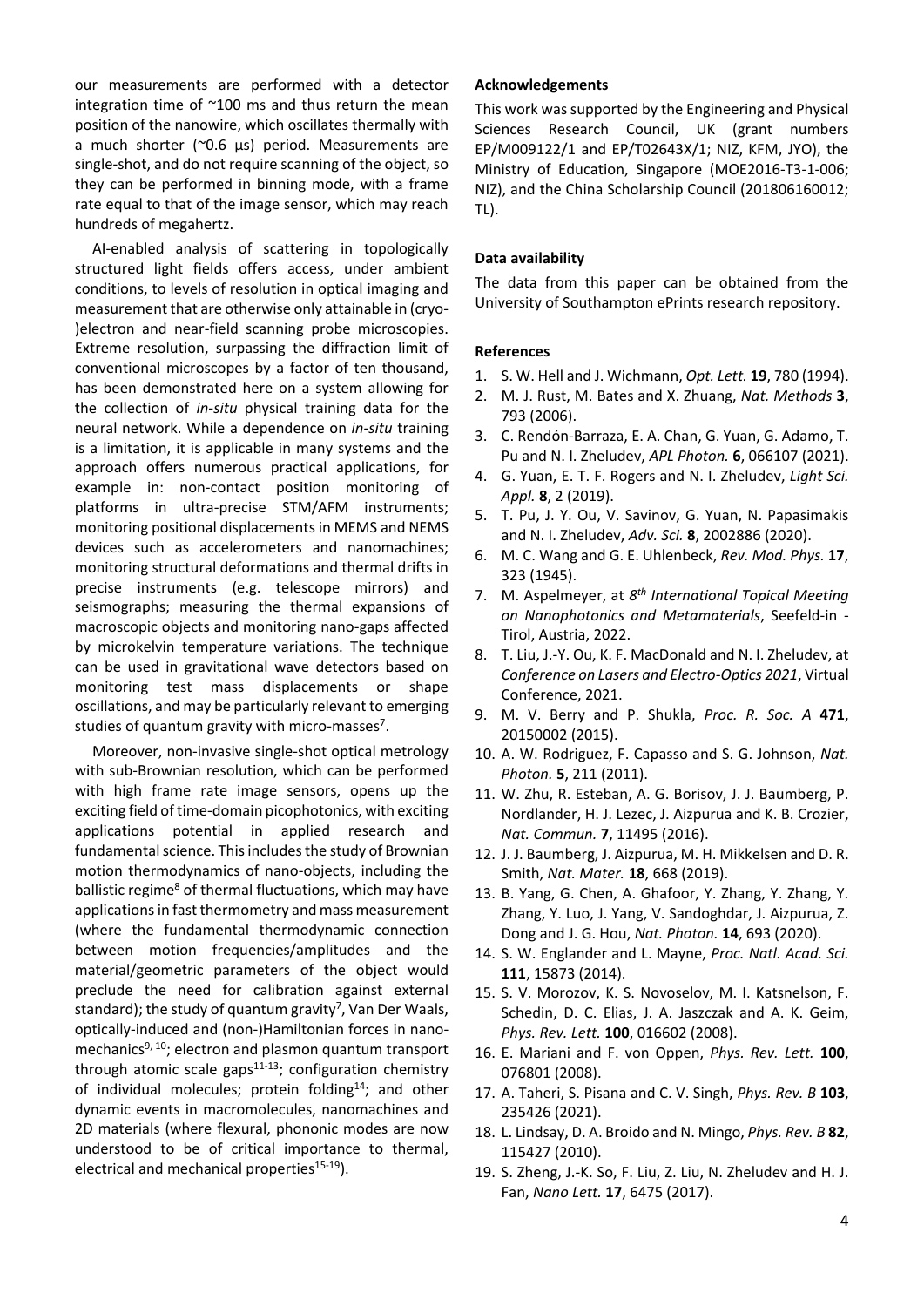our measurements are performed with a detector integration time of ~100 ms and thus return the mean position of the nanowire, which oscillates thermally with a much shorter (~0.6 μs) period. Measurements are single-shot, and do not require scanning of the object, so they can be performed in binning mode, with a frame rate equal to that of the image sensor, which may reach hundreds of megahertz.

AI-enabled analysis of scattering in topologically structured light fields offers access, under ambient conditions, to levels of resolution in optical imaging and measurement that are otherwise only attainable in (cryo- )electron and near-field scanning probe microscopies. Extreme resolution, surpassing the diffraction limit of conventional microscopes by a factor of ten thousand, has been demonstrated here on a system allowing for the collection of *in-situ* physical training data for the neural network. While a dependence on *in-situ* training is a limitation, it is applicable in many systems and the approach offers numerous practical applications, for example in: non-contact position monitoring of platforms in ultra-precise STM/AFM instruments; monitoring positional displacements in MEMS and NEMS devices such as accelerometers and nanomachines; monitoring structural deformations and thermal drifts in precise instruments (e.g. telescope mirrors) and seismographs; measuring the thermal expansions of macroscopic objects and monitoring nano-gaps affected by microkelvin temperature variations. The technique can be used in gravitational wave detectors based on monitoring test mass displacements or shape oscillations, and may be particularly relevant to emerging studies of quantum gravity with micro-masses<sup>7</sup>.

Moreover, non-invasive single-shot optical metrology with sub-Brownian resolution, which can be performed with high frame rate image sensors, opens up the exciting field of time-domain picophotonics, with exciting applications potential in applied research and fundamental science. This includes the study of Brownian motion thermodynamics of nano-objects, including the ballistic regime<sup>8</sup> of thermal fluctuations, which may have applications in fast thermometry and mass measurement (where the fundamental thermodynamic connection between motion frequencies/amplitudes and the material/geometric parameters of the object would preclude the need for calibration against external standard); the study of quantum gravity 7 , Van Der Waals, optically-induced and (non-)Hamiltonian forces in nanomechanics<sup>9, 10</sup>; electron and plasmon quantum transport through atomic scale gaps $11-13$ ; configuration chemistry of individual molecules; protein folding<sup>14</sup>; and other dynamic events in macromolecules, nanomachines and 2D materials (where flexural, phononic modes are now understood to be of critical importance to thermal, electrical and mechanical properties<sup>15-19</sup>).

#### **Acknowledgements**

This work was supported by the Engineering and Physical Sciences Research Council, UK (grant numbers EP/M009122/1 and EP/T02643X/1; NIZ, KFM, JYO), the Ministry of Education, Singapore (MOE2016-T3-1-006; NIZ), and the China Scholarship Council (201806160012; TL).

#### **Data availability**

The data from this paper can be obtained from the University of Southampton ePrints research repository.

#### **References**

- 1. S. W. Hell and J. Wichmann, *Opt. Lett.* **19**, 780 (1994).
- 2. M. J. Rust, M. Bates and X. Zhuang, *Nat. Methods* **3**, 793 (2006).
- 3. C. Rendón-Barraza, E. A. Chan, G. Yuan, G. Adamo, T. Pu and N. I. Zheludev, *APL Photon.* **6**, 066107 (2021).
- 4. G. Yuan, E. T. F. Rogers and N. I. Zheludev, *Light Sci. Appl.* **8**, 2 (2019).
- 5. T. Pu, J. Y. Ou, V. Savinov, G. Yuan, N. Papasimakis and N. I. Zheludev, *Adv. Sci.* **8**, 2002886 (2020).
- 6. M. C. Wang and G. E. Uhlenbeck, *Rev. Mod. Phys.* **17**, 323 (1945).
- 7. M. Aspelmeyer, at *8 th International Topical Meeting on Nanophotonics and Metamaterials*, Seefeld-in - Tirol, Austria, 2022.
- 8. T. Liu, J.-Y. Ou, K. F. MacDonald and N. I. Zheludev, at *Conference on Lasers and Electro-Optics 2021*, Virtual Conference, 2021.
- 9. M. V. Berry and P. Shukla, *Proc. R. Soc. A* **471**, 20150002 (2015).
- 10. A. W. Rodriguez, F. Capasso and S. G. Johnson, *Nat. Photon.* **5**, 211 (2011).
- 11. W. Zhu, R. Esteban, A. G. Borisov, J. J. Baumberg, P. Nordlander, H. J. Lezec, J. Aizpurua and K. B. Crozier, *Nat. Commun.* **7**, 11495 (2016).
- 12. J. J. Baumberg, J. Aizpurua, M. H. Mikkelsen and D. R. Smith, *Nat. Mater.* **18**, 668 (2019).
- 13. B. Yang, G. Chen, A. Ghafoor, Y. Zhang, Y. Zhang, Y. Zhang, Y. Luo, J. Yang, V. Sandoghdar, J. Aizpurua, Z. Dong and J. G. Hou, *Nat. Photon.* **14**, 693 (2020).
- 14. S. W. Englander and L. Mayne, *Proc. Natl. Acad. Sci.* **111**, 15873 (2014).
- 15. S. V. Morozov, K. S. Novoselov, M. I. Katsnelson, F. Schedin, D. C. Elias, J. A. Jaszczak and A. K. Geim, *Phys. Rev. Lett.* **100**, 016602 (2008).
- 16. E. Mariani and F. von Oppen, *Phys. Rev. Lett.* **100**, 076801 (2008).
- 17. A. Taheri, S. Pisana and C. V. Singh, *Phys. Rev. B* **103**, 235426 (2021).
- 18. L. Lindsay, D. A. Broido and N. Mingo, *Phys. Rev. B* **82**, 115427 (2010).
- 19. S. Zheng, J.-K. So, F. Liu, Z. Liu, N. Zheludev and H. J. Fan, *Nano Lett.* **17**, 6475 (2017).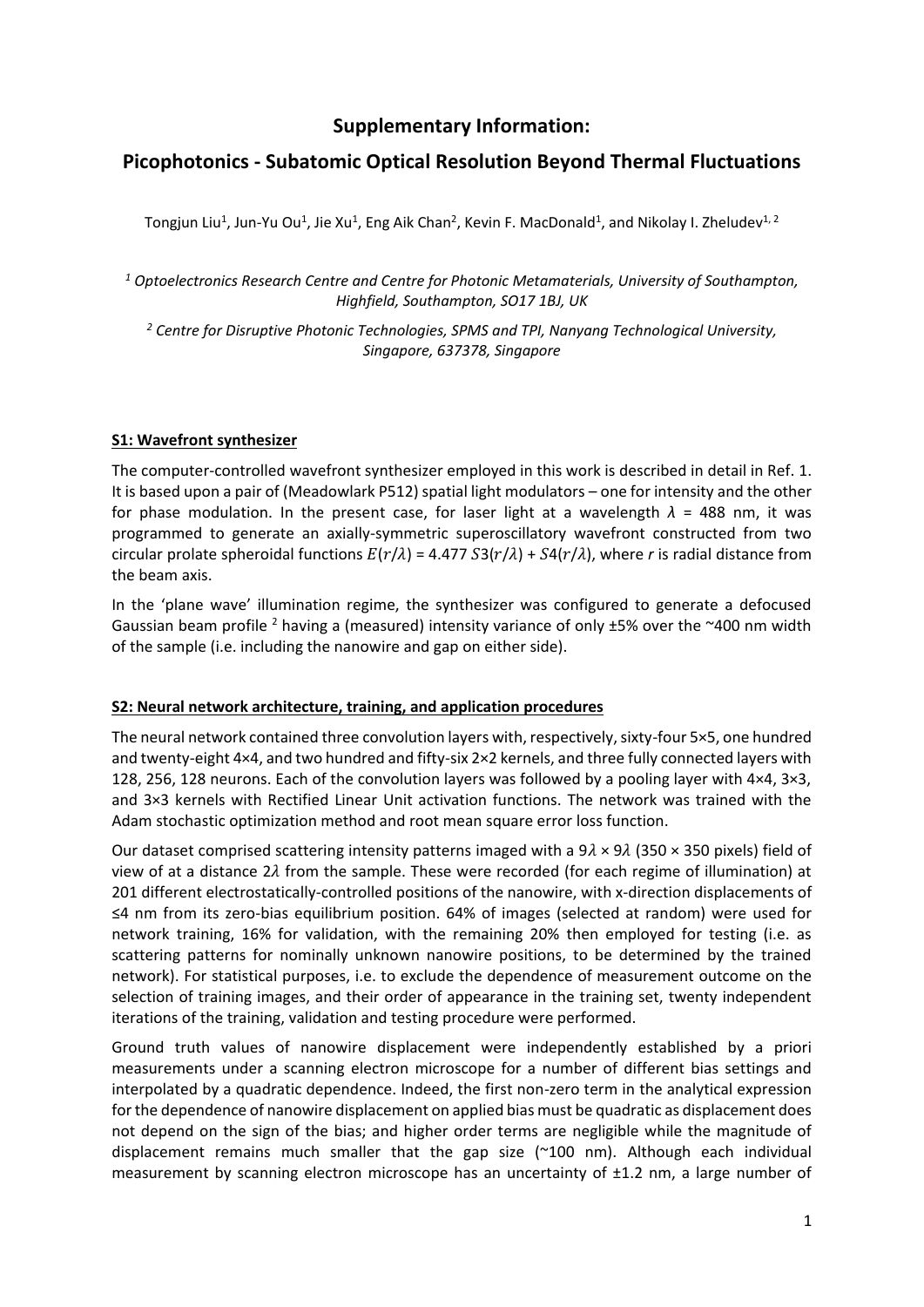# **Supplementary Information:**

## **Picophotonics - Subatomic Optical Resolution Beyond Thermal Fluctuations**

Tongjun Liu<sup>1</sup>, Jun-Yu Ou<sup>1</sup>, Jie Xu<sup>1</sup>, Eng Aik Chan<sup>2</sup>, Kevin F. MacDonald<sup>1</sup>, and Nikolay I. Zheludev<sup>1, 2</sup>

*<sup>1</sup> Optoelectronics Research Centre and Centre for Photonic Metamaterials, University of Southampton, Highfield, Southampton, SO17 1BJ, UK*

*<sup>2</sup> Centre for Disruptive Photonic Technologies, SPMS and TPI, Nanyang Technological University, Singapore, 637378, Singapore*

## **S1: Wavefront synthesizer**

The computer-controlled wavefront synthesizer employed in this work is described in detail in Ref. 1. It is based upon a pair of (Meadowlark P512) spatial light modulators – one for intensity and the other for phase modulation. In the present case, for laser light at a wavelength  $\lambda$  = 488 nm, it was programmed to generate an axially-symmetric superoscillatory wavefront constructed from two circular prolate spheroidal functions  $E(r/\lambda) = 4.477 S3(r/\lambda) + S4(r/\lambda)$ , where *r* is radial distance from the beam axis.

In the 'plane wave' illumination regime, the synthesizer was configured to generate a defocused Gaussian beam profile <sup>2</sup> having a (measured) intensity variance of only  $\pm$ 5% over the ~400 nm width of the sample (i.e. including the nanowire and gap on either side).

## **S2: Neural network architecture, training, and application procedures**

The neural network contained three convolution layers with, respectively, sixty-four 5×5, one hundred and twenty-eight 4×4, and two hundred and fifty-six 2×2 kernels, and three fully connected layers with 128, 256, 128 neurons. Each of the convolution layers was followed by a pooling layer with 4×4, 3×3, and 3×3 kernels with Rectified Linear Unit activation functions. The network was trained with the Adam stochastic optimization method and root mean square error loss function.

Our dataset comprised scattering intensity patterns imaged with a  $9\lambda \times 9\lambda$  (350 × 350 pixels) field of view of at a distance  $2\lambda$  from the sample. These were recorded (for each regime of illumination) at 201 different electrostatically-controlled positions of the nanowire, with x-direction displacements of ≤4 nm from its zero-bias equilibrium position. 64% of images (selected at random) were used for network training, 16% for validation, with the remaining 20% then employed for testing (i.e. as scattering patterns for nominally unknown nanowire positions, to be determined by the trained network). For statistical purposes, i.e. to exclude the dependence of measurement outcome on the selection of training images, and their order of appearance in the training set, twenty independent iterations of the training, validation and testing procedure were performed.

Ground truth values of nanowire displacement were independently established by a priori measurements under a scanning electron microscope for a number of different bias settings and interpolated by a quadratic dependence. Indeed, the first non-zero term in the analytical expression for the dependence of nanowire displacement on applied bias must be quadratic as displacement does not depend on the sign of the bias; and higher order terms are negligible while the magnitude of displacement remains much smaller that the gap size (~100 nm). Although each individual measurement by scanning electron microscope has an uncertainty of ±1.2 nm, a large number of